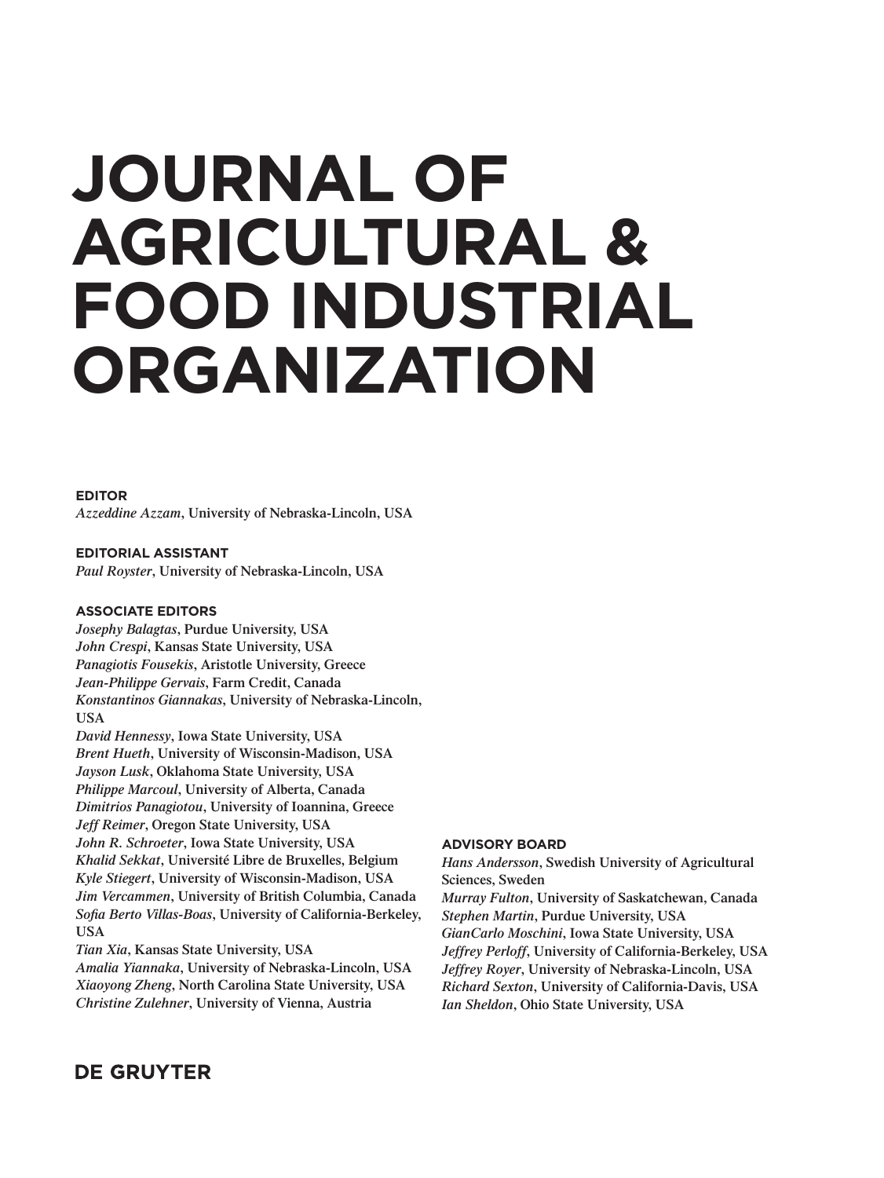# **JOURNAL OF AGRICULTURAL & FOOD INDUSTRIAL ORGANIZATION**

#### **EDITOR**

*Azzeddine Azzam***, University of Nebraska-Lincoln, USA**

**EDITORIAL ASSISTANT** *Paul Royster***, University of Nebraska-Lincoln, USA**

### **ASSOCIATE EDITORS**

*Josephy Balagtas***, Purdue University, USA**  *John Crespi***, Kansas State University, USA** *Panagiotis Fousekis***, Aristotle University, Greece** *Jean-Philippe Gervais***, Farm Credit, Canada** *Konstantinos Giannakas***, University of Nebraska-Lincoln, USA**

*David Hennessy***, Iowa State University, USA** *Brent Hueth***, University of Wisconsin-Madison, USA** *Jayson Lusk***, Oklahoma State University, USA** *Philippe Marcoul***, University of Alberta, Canada** *Dimitrios Panagiotou***, University of Ioannina, Greece** *Jeff Reimer***, Oregon State University, USA** *John R. Schroeter***, Iowa State University, USA** *Khalid Sekkat***, Université Libre de Bruxelles, Belgium** *Kyle Stiegert***, University of Wisconsin-Madison, USA** *Jim Vercammen***, University of British Columbia, Canada** Sofia Berto Villas-Boas, University of California-Berkeley, **USA**

*Tian Xia***, Kansas State University, USA**

*Amalia Yiannaka***, University of Nebraska-Lincoln, USA** *Xiaoyong Zheng***, North Carolina State University, USA** *Christine Zulehner***, University of Vienna, Austria**

### **ADVISORY BOARD**

*Hans Andersson***, Swedish University of Agricultural Sciences, Sweden**

*Murray Fulton***, University of Saskatchewan, Canada** *Stephen Martin***, Purdue University, USA** *GianCarlo Moschini***, Iowa State University, USA** *Jeffrey Perloff***, University of California-Berkeley, USA** *Jeffrey Royer***, University of Nebraska-Lincoln, USA** *Richard Sexton***, University of California-Davis, USA** *Ian Sheldon***, Ohio State University, USA**

## **DE GRUYTER**